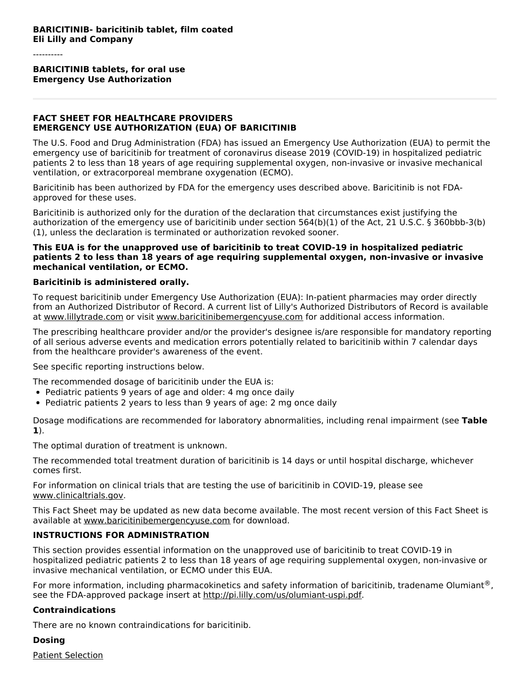**BARICITINIB tablets, for oral use Emergency Use Authorization**

----------

## **FACT SHEET FOR HEALTHCARE PROVIDERS EMERGENCY USE AUTHORIZATION (EUA) OF BARICITINIB**

The U.S. Food and Drug Administration (FDA) has issued an Emergency Use Authorization (EUA) to permit the emergency use of baricitinib for treatment of coronavirus disease 2019 (COVID-19) in hospitalized pediatric patients 2 to less than 18 years of age requiring supplemental oxygen, non-invasive or invasive mechanical ventilation, or extracorporeal membrane oxygenation (ECMO).

Baricitinib has been authorized by FDA for the emergency uses described above. Baricitinib is not FDAapproved for these uses.

Baricitinib is authorized only for the duration of the declaration that circumstances exist justifying the authorization of the emergency use of baricitinib under section 564(b)(1) of the Act, 21 U.S.C. § 360bbb-3(b) (1), unless the declaration is terminated or authorization revoked sooner.

#### **This EUA is for the unapproved use of baricitinib to treat COVID-19 in hospitalized pediatric patients 2 to less than 18 years of age requiring supplemental oxygen, non-invasive or invasive mechanical ventilation, or ECMO.**

#### **Baricitinib is administered orally.**

To request baricitinib under Emergency Use Authorization (EUA): In-patient pharmacies may order directly from an Authorized Distributor of Record. A current list of Lilly's Authorized Distributors of Record is available at www.lillytrade.com or visit www.baricitinibemergencyuse.com for additional access information.

The prescribing healthcare provider and/or the provider's designee is/are responsible for mandatory reporting of all serious adverse events and medication errors potentially related to baricitinib within 7 calendar days from the healthcare provider's awareness of the event.

See specific reporting instructions below.

The recommended dosage of baricitinib under the EUA is:

- Pediatric patients 9 years of age and older: 4 mg once daily
- Pediatric patients 2 years to less than 9 years of age: 2 mg once daily

Dosage modifications are recommended for laboratory abnormalities, including renal impairment (see **Table 1**).

The optimal duration of treatment is unknown.

The recommended total treatment duration of baricitinib is 14 days or until hospital discharge, whichever comes first.

For information on clinical trials that are testing the use of baricitinib in COVID-19, please see www.clinicaltrials.gov.

This Fact Sheet may be updated as new data become available. The most recent version of this Fact Sheet is available at www.baricitinibemergencyuse.com for download.

## **INSTRUCTIONS FOR ADMINISTRATION**

This section provides essential information on the unapproved use of baricitinib to treat COVID-19 in hospitalized pediatric patients 2 to less than 18 years of age requiring supplemental oxygen, non-invasive or invasive mechanical ventilation, or ECMO under this EUA.

For more information, including pharmacokinetics and safety information of baricitinib, tradename Olumiant®, see the FDA-approved package insert at http://pi.lilly.com/us/olumiant-uspi.pdf.

#### **Contraindications**

There are no known contraindications for baricitinib.

## **Dosing**

Patient Selection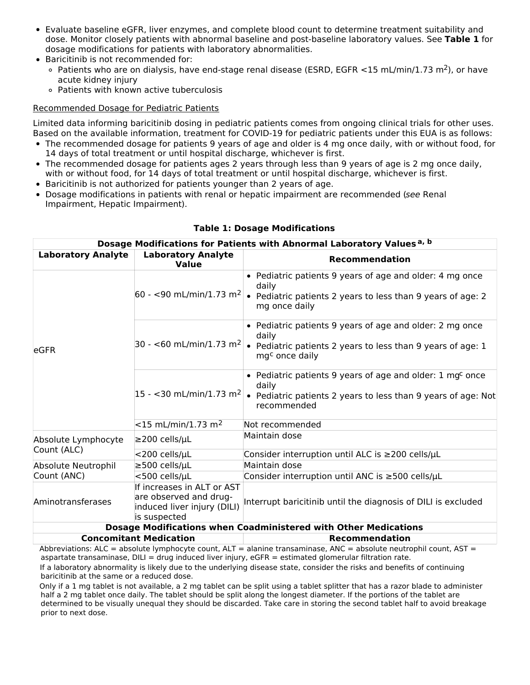- Evaluate baseline eGFR, liver enzymes, and complete blood count to determine treatment suitability and dose. Monitor closely patients with abnormal baseline and post-baseline laboratory values. See **Table 1** for dosage modifications for patients with laboratory abnormalities.
- Baricitinib is not recommended for:
	- Patients who are on dialysis, have end-stage renal disease (ESRD, EGFR <15 mL/min/1.73 m<sup>2</sup>), or have acute kidney injury
	- Patients with known active tuberculosis

## Recommended Dosage for Pediatric Patients

Limited data informing baricitinib dosing in pediatric patients comes from ongoing clinical trials for other uses. Based on the available information, treatment for COVID-19 for pediatric patients under this EUA is as follows:

- The recommended dosage for patients 9 years of age and older is 4 mg once daily, with or without food, for 14 days of total treatment or until hospital discharge, whichever is first.
- The recommended dosage for patients ages 2 years through less than 9 years of age is 2 mg once daily, with or without food, for 14 days of total treatment or until hospital discharge, whichever is first.
- Baricitinib is not authorized for patients younger than 2 years of age.
- Dosage modifications in patients with renal or hepatic impairment are recommended (see Renal Impairment, Hepatic Impairment).

| Dosage Modifications for Patients with Abnormal Laboratory Values <sup>a, b</sup> |                                                                                                     |                                                                                                                                                            |  |
|-----------------------------------------------------------------------------------|-----------------------------------------------------------------------------------------------------|------------------------------------------------------------------------------------------------------------------------------------------------------------|--|
| <b>Laboratory Analyte</b>                                                         | <b>Laboratory Analyte</b><br><b>Value</b>                                                           | <b>Recommendation</b>                                                                                                                                      |  |
| eGFR                                                                              | $60 - 90$ mL/min/1.73 m <sup>2</sup>                                                                | Pediatric patients 9 years of age and older: 4 mg once<br>daily<br>Pediatric patients 2 years to less than 9 years of age: 2<br>mg once daily              |  |
|                                                                                   | $30 - 60$ mL/min/1.73 m <sup>2</sup>                                                                | Pediatric patients 9 years of age and older: 2 mg once<br>daily<br>Pediatric patients 2 years to less than 9 years of age: 1<br>mg <sup>c</sup> once daily |  |
|                                                                                   | 15 - <30 mL/min/1.73 m <sup>2</sup>                                                                 | Pediatric patients 9 years of age and older: 1 mg <sup>c</sup> once<br>daily<br>Pediatric patients 2 years to less than 9 years of age: Not<br>recommended |  |
|                                                                                   | $<$ 15 mL/min/1.73 m <sup>2</sup>                                                                   | Not recommended                                                                                                                                            |  |
| Absolute Lymphocyte                                                               | ≥200 cells/µL                                                                                       | Maintain dose                                                                                                                                              |  |
| Count (ALC)                                                                       | <200 cells/µL                                                                                       | Consider interruption until ALC is ≥200 cells/µL                                                                                                           |  |
| Absolute Neutrophil                                                               | ≥500 cells/µL                                                                                       | Maintain dose                                                                                                                                              |  |
| Count (ANC)                                                                       | <500 cells/µL                                                                                       | Consider interruption until ANC is ≥500 cells/µL                                                                                                           |  |
| Aminotransferases                                                                 | If increases in ALT or AST<br>are observed and drug-<br>induced liver injury (DILI)<br>is suspected | Interrupt baricitinib until the diagnosis of DILI is excluded                                                                                              |  |
| Dosage Modifications when Coadministered with Other Medications                   |                                                                                                     |                                                                                                                                                            |  |
|                                                                                   | <b>Concomitant Medication</b>                                                                       | <b>Recommendation</b>                                                                                                                                      |  |

# **Table 1: Dosage Modifications**

Abbreviations: ALC = absolute lymphocyte count, ALT = alanine transaminase, ANC = absolute neutrophil count, AST = aspartate transaminase, DILI = drug induced liver injury, eGFR = estimated glomerular filtration rate. If a laboratory abnormality is likely due to the underlying disease state, consider the risks and benefits of continuing

baricitinib at the same or a reduced dose.

Only if a 1 mg tablet is not available, a 2 mg tablet can be split using a tablet splitter that has a razor blade to administer half a 2 mg tablet once daily. The tablet should be split along the longest diameter. If the portions of the tablet are determined to be visually unequal they should be discarded. Take care in storing the second tablet half to avoid breakage prior to next dose.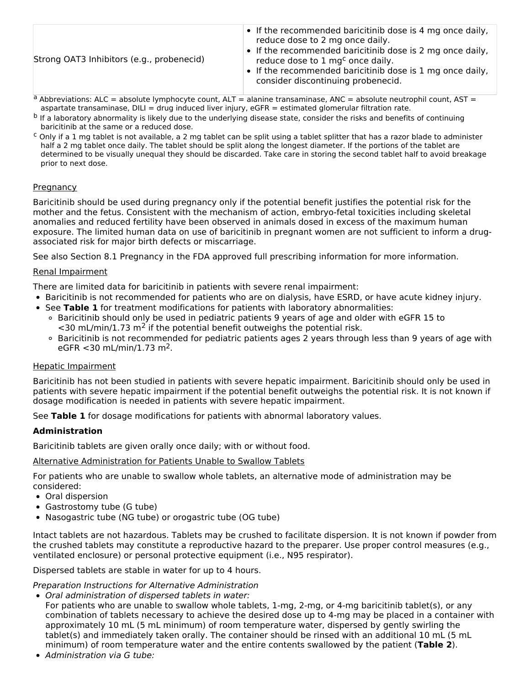|  | Strong OAT3 Inhibitors (e.g., probenecid) | • If the recommended baricitinib dose is 4 mg once daily,<br>reduce dose to 2 mg once daily.<br>• If the recommended baricitinib dose is 2 mg once daily,<br>reduce dose to 1 mg <sup>c</sup> once daily.<br>• If the recommended baricitinib dose is 1 mg once daily,<br>consider discontinuing probenecid. |
|--|-------------------------------------------|--------------------------------------------------------------------------------------------------------------------------------------------------------------------------------------------------------------------------------------------------------------------------------------------------------------|
|--|-------------------------------------------|--------------------------------------------------------------------------------------------------------------------------------------------------------------------------------------------------------------------------------------------------------------------------------------------------------------|

 $a$  Abbreviations: ALC = absolute lymphocyte count, ALT = alanine transaminase, ANC = absolute neutrophil count, AST = aspartate transaminase, DILI = drug induced liver injury, eGFR = estimated glomerular filtration rate.

- <sup>b</sup> If a laboratory abnormality is likely due to the underlying disease state, consider the risks and benefits of continuing baricitinib at the same or a reduced dose.
- <sup>c</sup> Only if a 1 mg tablet is not available, a 2 mg tablet can be split using a tablet splitter that has a razor blade to administer half a 2 mg tablet once daily. The tablet should be split along the longest diameter. If the portions of the tablet are determined to be visually unequal they should be discarded. Take care in storing the second tablet half to avoid breakage prior to next dose.

## Pregnancy

Baricitinib should be used during pregnancy only if the potential benefit justifies the potential risk for the mother and the fetus. Consistent with the mechanism of action, embryo-fetal toxicities including skeletal anomalies and reduced fertility have been observed in animals dosed in excess of the maximum human exposure. The limited human data on use of baricitinib in pregnant women are not sufficient to inform a drugassociated risk for major birth defects or miscarriage.

See also Section 8.1 Pregnancy in the FDA approved full prescribing information for more information.

#### Renal Impairment

There are limited data for baricitinib in patients with severe renal impairment:

- Baricitinib is not recommended for patients who are on dialysis, have ESRD, or have acute kidney injury.
- **See Table 1** for treatment modifications for patients with laboratory abnormalities:
	- Baricitinib should only be used in pediatric patients 9 years of age and older with eGFR 15 to  $<$ 30 mL/min/1.73 m<sup>2</sup> if the potential benefit outweighs the potential risk.
	- Baricitinib is not recommended for pediatric patients ages 2 years through less than 9 years of age with  $eGFR < 30$  mL/min/1.73 m<sup>2</sup>.

## Hepatic Impairment

Baricitinib has not been studied in patients with severe hepatic impairment. Baricitinib should only be used in patients with severe hepatic impairment if the potential benefit outweighs the potential risk. It is not known if dosage modification is needed in patients with severe hepatic impairment.

See **Table 1** for dosage modifications for patients with abnormal laboratory values.

## **Administration**

Baricitinib tablets are given orally once daily; with or without food.

## Alternative Administration for Patients Unable to Swallow Tablets

For patients who are unable to swallow whole tablets, an alternative mode of administration may be considered:

- Oral dispersion
- Gastrostomy tube (G tube)
- Nasogastric tube (NG tube) or orogastric tube (OG tube)

Intact tablets are not hazardous. Tablets may be crushed to facilitate dispersion. It is not known if powder from the crushed tablets may constitute a reproductive hazard to the preparer. Use proper control measures (e.g., ventilated enclosure) or personal protective equipment (i.e., N95 respirator).

Dispersed tablets are stable in water for up to 4 hours.

Preparation Instructions for Alternative Administration

- Oral administration of dispersed tablets in water:
- For patients who are unable to swallow whole tablets, 1-mg, 2-mg, or 4-mg baricitinib tablet(s), or any combination of tablets necessary to achieve the desired dose up to 4-mg may be placed in a container with approximately 10 mL (5 mL minimum) of room temperature water, dispersed by gently swirling the tablet(s) and immediately taken orally. The container should be rinsed with an additional 10 mL (5 mL minimum) of room temperature water and the entire contents swallowed by the patient (**Table 2**).
- Administration via G tube: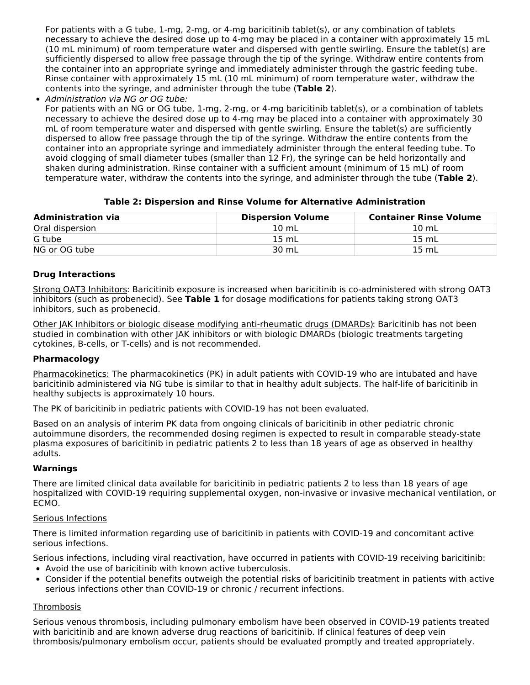For patients with a G tube, 1-mg, 2-mg, or 4-mg baricitinib tablet(s), or any combination of tablets necessary to achieve the desired dose up to 4-mg may be placed in a container with approximately 15 mL (10 mL minimum) of room temperature water and dispersed with gentle swirling. Ensure the tablet(s) are sufficiently dispersed to allow free passage through the tip of the syringe. Withdraw entire contents from the container into an appropriate syringe and immediately administer through the gastric feeding tube. Rinse container with approximately 15 mL (10 mL minimum) of room temperature water, withdraw the contents into the syringe, and administer through the tube (**Table 2**).

• Administration via NG or OG tube:

For patients with an NG or OG tube, 1-mg, 2-mg, or 4-mg baricitinib tablet(s), or a combination of tablets necessary to achieve the desired dose up to 4-mg may be placed into a container with approximately 30 mL of room temperature water and dispersed with gentle swirling. Ensure the tablet(s) are sufficiently dispersed to allow free passage through the tip of the syringe. Withdraw the entire contents from the container into an appropriate syringe and immediately administer through the enteral feeding tube. To avoid clogging of small diameter tubes (smaller than 12 Fr), the syringe can be held horizontally and shaken during administration. Rinse container with a sufficient amount (minimum of 15 mL) of room temperature water, withdraw the contents into the syringe, and administer through the tube (**Table 2**).

## **Table 2: Dispersion and Rinse Volume for Alternative Administration**

| <b>Administration via</b> | <b>Dispersion Volume</b> | <b>Container Rinse Volume</b> |  |  |
|---------------------------|--------------------------|-------------------------------|--|--|
| Oral dispersion           | $10 \text{ mL}$          | 10 mL                         |  |  |
| G tube                    | $15 \text{ mL}$          | $15 \text{ mL}$               |  |  |
| NG or OG tube             | 30 mL                    | 15 mL                         |  |  |

## **Drug Interactions**

Strong OAT3 Inhibitors: Baricitinib exposure is increased when baricitinib is co-administered with strong OAT3 inhibitors (such as probenecid). See **Table 1** for dosage modifications for patients taking strong OAT3 inhibitors, such as probenecid.

Other JAK Inhibitors or biologic disease modifying anti-rheumatic drugs (DMARDs): Baricitinib has not been studied in combination with other JAK inhibitors or with biologic DMARDs (biologic treatments targeting cytokines, B-cells, or T-cells) and is not recommended.

#### **Pharmacology**

Pharmacokinetics: The pharmacokinetics (PK) in adult patients with COVID-19 who are intubated and have baricitinib administered via NG tube is similar to that in healthy adult subjects. The half-life of baricitinib in healthy subjects is approximately 10 hours.

The PK of baricitinib in pediatric patients with COVID-19 has not been evaluated.

Based on an analysis of interim PK data from ongoing clinicals of baricitinib in other pediatric chronic autoimmune disorders, the recommended dosing regimen is expected to result in comparable steady-state plasma exposures of baricitinib in pediatric patients 2 to less than 18 years of age as observed in healthy adults.

## **Warnings**

There are limited clinical data available for baricitinib in pediatric patients 2 to less than 18 years of age hospitalized with COVID-19 requiring supplemental oxygen, non-invasive or invasive mechanical ventilation, or ECMO.

#### Serious Infections

There is limited information regarding use of baricitinib in patients with COVID-19 and concomitant active serious infections.

Serious infections, including viral reactivation, have occurred in patients with COVID-19 receiving baricitinib: Avoid the use of baricitinib with known active tuberculosis.

Consider if the potential benefits outweigh the potential risks of baricitinib treatment in patients with active serious infections other than COVID-19 or chronic / recurrent infections.

#### **Thrombosis**

Serious venous thrombosis, including pulmonary embolism have been observed in COVID-19 patients treated with baricitinib and are known adverse drug reactions of baricitinib. If clinical features of deep vein thrombosis/pulmonary embolism occur, patients should be evaluated promptly and treated appropriately.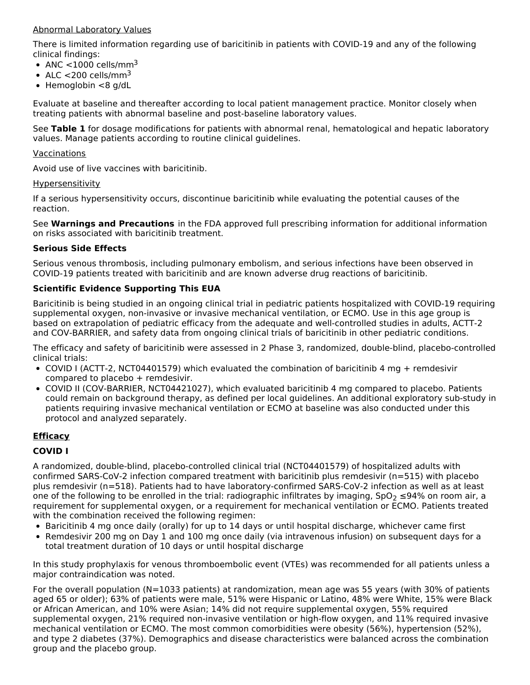# Abnormal Laboratory Values

There is limited information regarding use of baricitinib in patients with COVID-19 and any of the following clinical findings:

- ANC  $<$ 1000 cells/mm $^3$
- ALC <200 cells/mm<sup>3</sup>
- $\bullet$  Hemoglobin <8 g/dL

Evaluate at baseline and thereafter according to local patient management practice. Monitor closely when treating patients with abnormal baseline and post-baseline laboratory values.

See **Table 1** for dosage modifications for patients with abnormal renal, hematological and hepatic laboratory values. Manage patients according to routine clinical guidelines.

#### Vaccinations

Avoid use of live vaccines with baricitinib.

#### **Hypersensitivity**

If a serious hypersensitivity occurs, discontinue baricitinib while evaluating the potential causes of the reaction.

See **Warnings and Precautions** in the FDA approved full prescribing information for additional information on risks associated with baricitinib treatment.

## **Serious Side Effects**

Serious venous thrombosis, including pulmonary embolism, and serious infections have been observed in COVID-19 patients treated with baricitinib and are known adverse drug reactions of baricitinib.

## **Scientific Evidence Supporting This EUA**

Baricitinib is being studied in an ongoing clinical trial in pediatric patients hospitalized with COVID-19 requiring supplemental oxygen, non-invasive or invasive mechanical ventilation, or ECMO. Use in this age group is based on extrapolation of pediatric efficacy from the adequate and well-controlled studies in adults, ACTT-2 and COV-BARRIER, and safety data from ongoing clinical trials of baricitinib in other pediatric conditions.

The efficacy and safety of baricitinib were assessed in 2 Phase 3, randomized, double-blind, placebo-controlled clinical trials:

- COVID I (ACTT-2, NCT04401579) which evaluated the combination of baricitinib 4 mg + remdesivir compared to placebo  $+$  remdesivir.
- COVID II (COV-BARRIER, NCT04421027), which evaluated baricitinib 4 mg compared to placebo. Patients could remain on background therapy, as defined per local guidelines. An additional exploratory sub-study in patients requiring invasive mechanical ventilation or ECMO at baseline was also conducted under this protocol and analyzed separately.

## **Efficacy**

## **COVID I**

A randomized, double-blind, placebo-controlled clinical trial (NCT04401579) of hospitalized adults with confirmed SARS-CoV-2 infection compared treatment with baricitinib plus remdesivir (n=515) with placebo plus remdesivir (n=518). Patients had to have laboratory-confirmed SARS-CoV-2 infection as well as at least one of the following to be enrolled in the trial: radiographic infiltrates by imaging, SpO<sub>2</sub> ≤94% on room air, a requirement for supplemental oxygen, or a requirement for mechanical ventilation or ECMO. Patients treated with the combination received the following regimen:

- Baricitinib 4 mg once daily (orally) for up to 14 days or until hospital discharge, whichever came first
- Remdesivir 200 mg on Day 1 and 100 mg once daily (via intravenous infusion) on subsequent days for a total treatment duration of 10 days or until hospital discharge

In this study prophylaxis for venous thromboembolic event (VTEs) was recommended for all patients unless a major contraindication was noted.

For the overall population (N=1033 patients) at randomization, mean age was 55 years (with 30% of patients aged 65 or older); 63% of patients were male, 51% were Hispanic or Latino, 48% were White, 15% were Black or African American, and 10% were Asian; 14% did not require supplemental oxygen, 55% required supplemental oxygen, 21% required non-invasive ventilation or high-flow oxygen, and 11% required invasive mechanical ventilation or ECMO. The most common comorbidities were obesity (56%), hypertension (52%), and type 2 diabetes (37%). Demographics and disease characteristics were balanced across the combination group and the placebo group.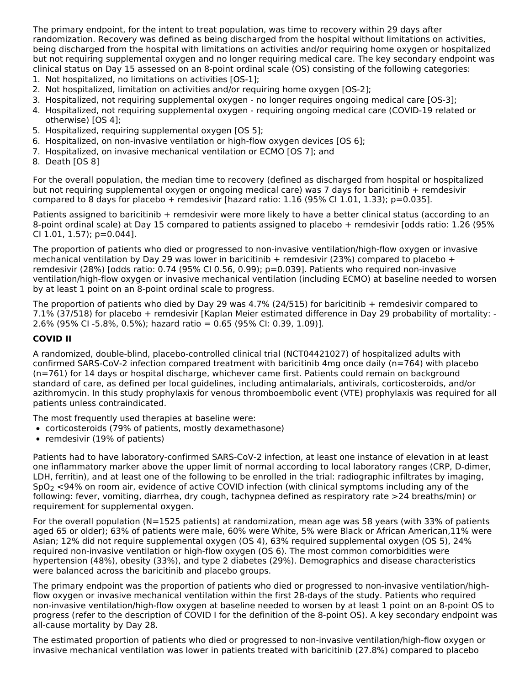The primary endpoint, for the intent to treat population, was time to recovery within 29 days after randomization. Recovery was defined as being discharged from the hospital without limitations on activities, being discharged from the hospital with limitations on activities and/or requiring home oxygen or hospitalized but not requiring supplemental oxygen and no longer requiring medical care. The key secondary endpoint was clinical status on Day 15 assessed on an 8-point ordinal scale (OS) consisting of the following categories:

- 1. Not hospitalized, no limitations on activities [OS-1];
- 2. Not hospitalized, limitation on activities and/or requiring home oxygen [OS-2];
- 3. Hospitalized, not requiring supplemental oxygen no longer requires ongoing medical care [OS-3];
- 4. Hospitalized, not requiring supplemental oxygen requiring ongoing medical care (COVID-19 related or otherwise) [OS 4];
- 5. Hospitalized, requiring supplemental oxygen [OS 5];
- 6. Hospitalized, on non-invasive ventilation or high-flow oxygen devices [OS 6];
- 7. Hospitalized, on invasive mechanical ventilation or ECMO [OS 7]; and
- 8. Death [OS 8]

For the overall population, the median time to recovery (defined as discharged from hospital or hospitalized but not requiring supplemental oxygen or ongoing medical care) was 7 days for baricitinib + remdesivir compared to 8 days for placebo + remdesivir [hazard ratio:  $1.16$  (95% CI 1.01, 1.33); p=0.035].

Patients assigned to baricitinib + remdesivir were more likely to have a better clinical status (according to an 8-point ordinal scale) at Day 15 compared to patients assigned to placebo + remdesivir [odds ratio: 1.26 (95% CI 1.01, 1.57); p=0.044].

The proportion of patients who died or progressed to non-invasive ventilation/high-flow oxygen or invasive mechanical ventilation by Day 29 was lower in baricitinib + remdesivir (23%) compared to placebo + remdesivir (28%) [odds ratio: 0.74 (95% CI 0.56, 0.99); p=0.039]. Patients who required non-invasive ventilation/high-flow oxygen or invasive mechanical ventilation (including ECMO) at baseline needed to worsen by at least 1 point on an 8-point ordinal scale to progress.

The proportion of patients who died by Day 29 was 4.7% (24/515) for baricitinib + remdesivir compared to 7.1% (37/518) for placebo + remdesivir [Kaplan Meier estimated difference in Day 29 probability of mortality: - 2.6% (95% CI -5.8%, 0.5%); hazard ratio = 0.65 (95% CI: 0.39, 1.09)].

## **COVID II**

A randomized, double-blind, placebo-controlled clinical trial (NCT04421027) of hospitalized adults with confirmed SARS-CoV-2 infection compared treatment with baricitinib 4mg once daily (n=764) with placebo (n=761) for 14 days or hospital discharge, whichever came first. Patients could remain on background standard of care, as defined per local guidelines, including antimalarials, antivirals, corticosteroids, and/or azithromycin. In this study prophylaxis for venous thromboembolic event (VTE) prophylaxis was required for all patients unless contraindicated.

The most frequently used therapies at baseline were:

- corticosteroids (79% of patients, mostly dexamethasone)
- remdesivir (19% of patients)

Patients had to have laboratory-confirmed SARS-CoV-2 infection, at least one instance of elevation in at least one inflammatory marker above the upper limit of normal according to local laboratory ranges (CRP, D-dimer, LDH, ferritin), and at least one of the following to be enrolled in the trial: radiographic infiltrates by imaging,  $SpO<sub>2</sub> < 94%$  on room air, evidence of active COVID infection (with clinical symptoms including any of the following: fever, vomiting, diarrhea, dry cough, tachypnea defined as respiratory rate >24 breaths/min) or requirement for supplemental oxygen.

For the overall population (N=1525 patients) at randomization, mean age was 58 years (with 33% of patients aged 65 or older); 63% of patients were male, 60% were White, 5% were Black or African American,11% were Asian; 12% did not require supplemental oxygen (OS 4), 63% required supplemental oxygen (OS 5), 24% required non-invasive ventilation or high-flow oxygen (OS 6). The most common comorbidities were hypertension (48%), obesity (33%), and type 2 diabetes (29%). Demographics and disease characteristics were balanced across the baricitinib and placebo groups.

The primary endpoint was the proportion of patients who died or progressed to non-invasive ventilation/highflow oxygen or invasive mechanical ventilation within the first 28-days of the study. Patients who required non-invasive ventilation/high-flow oxygen at baseline needed to worsen by at least 1 point on an 8-point OS to progress (refer to the description of COVID I for the definition of the 8-point OS). A key secondary endpoint was all-cause mortality by Day 28.

The estimated proportion of patients who died or progressed to non-invasive ventilation/high-flow oxygen or invasive mechanical ventilation was lower in patients treated with baricitinib (27.8%) compared to placebo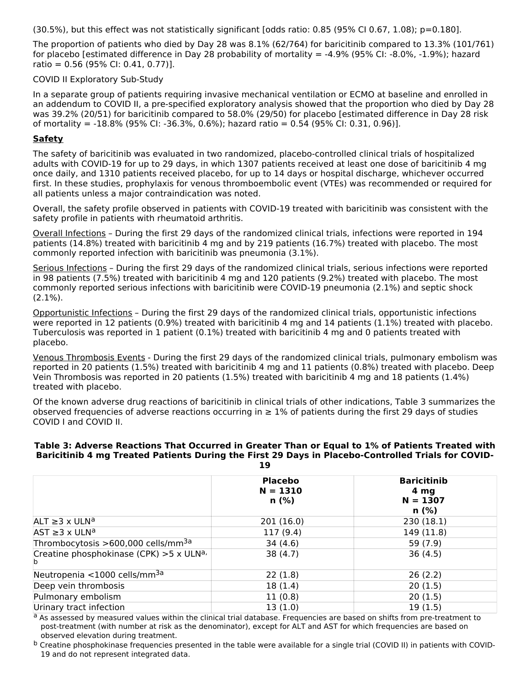(30.5%), but this effect was not statistically significant [odds ratio: 0.85 (95% CI 0.67, 1.08); p=0.180].

The proportion of patients who died by Day 28 was 8.1% (62/764) for baricitinib compared to 13.3% (101/761) for placebo [estimated difference in Day 28 probability of mortality = -4.9% (95% CI: -8.0%, -1.9%); hazard ratio = 0.56 (95% CI: 0.41, 0.77)].

#### COVID II Exploratory Sub-Study

In a separate group of patients requiring invasive mechanical ventilation or ECMO at baseline and enrolled in an addendum to COVID II, a pre-specified exploratory analysis showed that the proportion who died by Day 28 was 39.2% (20/51) for baricitinib compared to 58.0% (29/50) for placebo [estimated difference in Day 28 risk of mortality = -18.8% (95% CI: -36.3%, 0.6%); hazard ratio = 0.54 (95% CI: 0.31, 0.96)].

## **Safety**

The safety of baricitinib was evaluated in two randomized, placebo-controlled clinical trials of hospitalized adults with COVID-19 for up to 29 days, in which 1307 patients received at least one dose of baricitinib 4 mg once daily, and 1310 patients received placebo, for up to 14 days or hospital discharge, whichever occurred first. In these studies, prophylaxis for venous thromboembolic event (VTEs) was recommended or required for all patients unless a major contraindication was noted.

Overall, the safety profile observed in patients with COVID-19 treated with baricitinib was consistent with the safety profile in patients with rheumatoid arthritis.

Overall Infections – During the first 29 days of the randomized clinical trials, infections were reported in 194 patients (14.8%) treated with baricitinib 4 mg and by 219 patients (16.7%) treated with placebo. The most commonly reported infection with baricitinib was pneumonia (3.1%).

Serious Infections – During the first 29 days of the randomized clinical trials, serious infections were reported in 98 patients (7.5%) treated with baricitinib 4 mg and 120 patients (9.2%) treated with placebo. The most commonly reported serious infections with baricitinib were COVID-19 pneumonia (2.1%) and septic shock (2.1%).

Opportunistic Infections – During the first 29 days of the randomized clinical trials, opportunistic infections were reported in 12 patients (0.9%) treated with baricitinib 4 mg and 14 patients (1.1%) treated with placebo. Tuberculosis was reported in 1 patient (0.1%) treated with baricitinib 4 mg and 0 patients treated with placebo.

Venous Thrombosis Events - During the first 29 days of the randomized clinical trials, pulmonary embolism was reported in 20 patients (1.5%) treated with baricitinib 4 mg and 11 patients (0.8%) treated with placebo. Deep Vein Thrombosis was reported in 20 patients (1.5%) treated with baricitinib 4 mg and 18 patients (1.4%) treated with placebo.

Of the known adverse drug reactions of baricitinib in clinical trials of other indications, Table 3 summarizes the observed frequencies of adverse reactions occurring in  $\geq 1\%$  of patients during the first 29 days of studies COVID I and COVID II.

## **Table 3: Adverse Reactions That Occurred in Greater Than or Equal to 1% of Patients Treated with Baricitinib 4 mg Treated Patients During the First 29 Days in Placebo-Controlled Trials for COVID-**

| I<br>v<br>. . |  |
|---------------|--|
|---------------|--|

|                                                | <b>Placebo</b><br>$N = 1310$<br>$n$ (%) | <b>Baricitinib</b><br>4 <sub>mg</sub><br>$N = 1307$<br>n(%) |
|------------------------------------------------|-----------------------------------------|-------------------------------------------------------------|
| $ALT \geq 3 \times ULN^a$                      | 201(16.0)                               | 230(18.1)                                                   |
| $AST \geq 3 \times ULN^a$                      | 117(9.4)                                | 149 (11.8)                                                  |
| Thrombocytosis >600,000 cells/mm <sup>3a</sup> | 34(4.6)                                 | 59 (7.9)                                                    |
| Creatine phosphokinase (CPK) >5 x ULNa,<br>Ib  | 38(4.7)                                 | 36(4.5)                                                     |
| Neutropenia <1000 cells/mm <sup>3a</sup>       | 22(1.8)                                 | 26(2.2)                                                     |
| Deep vein thrombosis                           | 18(1.4)                                 | 20(1.5)                                                     |
| Pulmonary embolism                             | 11(0.8)                                 | 20(1.5)                                                     |
| Urinary tract infection                        | 13(1.0)                                 | 19(1.5)                                                     |

<sup>a</sup> As assessed by measured values within the clinical trial database. Frequencies are based on shifts from pre-treatment to post-treatment (with number at risk as the denominator), except for ALT and AST for which frequencies are based on observed elevation during treatment.

<sup>b</sup> Creatine phosphokinase frequencies presented in the table were available for a single trial (COVID II) in patients with COVID-19 and do not represent integrated data.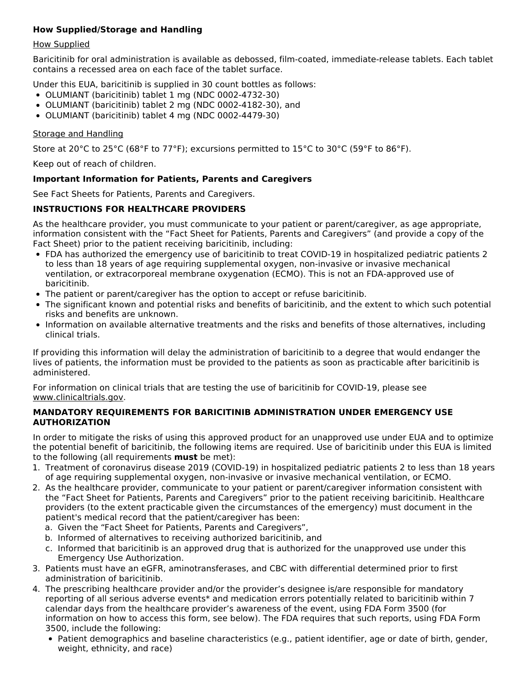# **How Supplied/Storage and Handling**

#### How Supplied

Baricitinib for oral administration is available as debossed, film-coated, immediate-release tablets. Each tablet contains a recessed area on each face of the tablet surface.

Under this EUA, baricitinib is supplied in 30 count bottles as follows:

- OLUMIANT (baricitinib) tablet 1 mg (NDC 0002-4732-30)
- OLUMIANT (baricitinib) tablet 2 mg (NDC 0002-4182-30), and
- OLUMIANT (baricitinib) tablet 4 mg (NDC 0002-4479-30)

## Storage and Handling

Store at 20°C to 25°C (68°F to 77°F); excursions permitted to 15°C to 30°C (59°F to 86°F).

Keep out of reach of children.

## **Important Information for Patients, Parents and Caregivers**

See Fact Sheets for Patients, Parents and Caregivers.

# **INSTRUCTIONS FOR HEALTHCARE PROVIDERS**

As the healthcare provider, you must communicate to your patient or parent/caregiver, as age appropriate, information consistent with the "Fact Sheet for Patients, Parents and Caregivers" (and provide a copy of the Fact Sheet) prior to the patient receiving baricitinib, including:

- FDA has authorized the emergency use of baricitinib to treat COVID-19 in hospitalized pediatric patients 2 to less than 18 years of age requiring supplemental oxygen, non-invasive or invasive mechanical ventilation, or extracorporeal membrane oxygenation (ECMO). This is not an FDA-approved use of baricitinib.
- The patient or parent/caregiver has the option to accept or refuse baricitinib.
- The significant known and potential risks and benefits of baricitinib, and the extent to which such potential risks and benefits are unknown.
- Information on available alternative treatments and the risks and benefits of those alternatives, including clinical trials.

If providing this information will delay the administration of baricitinib to a degree that would endanger the lives of patients, the information must be provided to the patients as soon as practicable after baricitinib is administered.

For information on clinical trials that are testing the use of baricitinib for COVID-19, please see www.clinicaltrials.gov.

## **MANDATORY REQUIREMENTS FOR BARICITINIB ADMINISTRATION UNDER EMERGENCY USE AUTHORIZATION**

In order to mitigate the risks of using this approved product for an unapproved use under EUA and to optimize the potential benefit of baricitinib, the following items are required. Use of baricitinib under this EUA is limited to the following (all requirements **must** be met):

- 1. Treatment of coronavirus disease 2019 (COVID-19) in hospitalized pediatric patients 2 to less than 18 years of age requiring supplemental oxygen, non-invasive or invasive mechanical ventilation, or ECMO.
- 2. As the healthcare provider, communicate to your patient or parent/caregiver information consistent with the "Fact Sheet for Patients, Parents and Caregivers" prior to the patient receiving baricitinib. Healthcare providers (to the extent practicable given the circumstances of the emergency) must document in the patient's medical record that the patient/caregiver has been:
	- a. Given the "Fact Sheet for Patients, Parents and Caregivers",
	- b. Informed of alternatives to receiving authorized baricitinib, and
	- c. Informed that baricitinib is an approved drug that is authorized for the unapproved use under this Emergency Use Authorization.
- 3. Patients must have an eGFR, aminotransferases, and CBC with differential determined prior to first administration of baricitinib.
- 4. The prescribing healthcare provider and/or the provider's designee is/are responsible for mandatory reporting of all serious adverse events\* and medication errors potentially related to baricitinib within 7 calendar days from the healthcare provider's awareness of the event, using FDA Form 3500 (for information on how to access this form, see below). The FDA requires that such reports, using FDA Form 3500, include the following:
	- Patient demographics and baseline characteristics (e.g., patient identifier, age or date of birth, gender, weight, ethnicity, and race)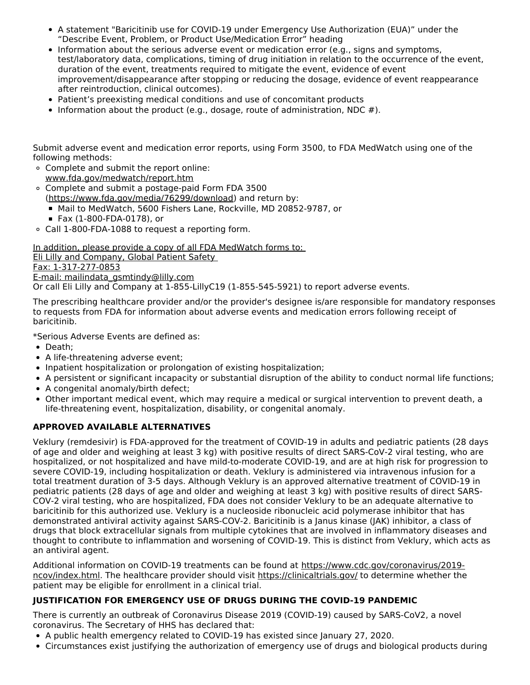- A statement "Baricitinib use for COVID-19 under Emergency Use Authorization (EUA)" under the "Describe Event, Problem, or Product Use/Medication Error" heading
- Information about the serious adverse event or medication error (e.g., signs and symptoms, test/laboratory data, complications, timing of drug initiation in relation to the occurrence of the event, duration of the event, treatments required to mitigate the event, evidence of event improvement/disappearance after stopping or reducing the dosage, evidence of event reappearance after reintroduction, clinical outcomes).
- Patient's preexisting medical conditions and use of concomitant products
- Information about the product (e.g., dosage, route of administration, NDC  $#$ ).

Submit adverse event and medication error reports, using Form 3500, to FDA MedWatch using one of the following methods:

- Complete and submit the report online: www.fda.gov/medwatch/report.htm
- Complete and submit a postage-paid Form FDA 3500 (https://www.fda.gov/media/76299/download) and return by:
	- Mail to MedWatch, 5600 Fishers Lane, Rockville, MD 20852-9787, or
	- Fax (1-800-FDA-0178), or
- Call 1-800-FDA-1088 to request a reporting form.

In addition, please provide a copy of all FDA MedWatch forms to: Eli Lilly and Company, Global Patient Safety Fax: 1-317-277-0853 E-mail: mailindata\_gsmtindy@lilly.com Or call Eli Lilly and Company at 1-855-LillyC19 (1-855-545-5921) to report adverse events.

The prescribing healthcare provider and/or the provider's designee is/are responsible for mandatory responses to requests from FDA for information about adverse events and medication errors following receipt of baricitinib.

\*Serious Adverse Events are defined as:

- Death;
- A life-threatening adverse event;
- Inpatient hospitalization or prolongation of existing hospitalization;
- A persistent or significant incapacity or substantial disruption of the ability to conduct normal life functions;
- A congenital anomaly/birth defect;
- Other important medical event, which may require a medical or surgical intervention to prevent death, a life-threatening event, hospitalization, disability, or congenital anomaly.

# **APPROVED AVAILABLE ALTERNATIVES**

Veklury (remdesivir) is FDA-approved for the treatment of COVID-19 in adults and pediatric patients (28 days of age and older and weighing at least 3 kg) with positive results of direct SARS-CoV-2 viral testing, who are hospitalized, or not hospitalized and have mild-to-moderate COVID-19, and are at high risk for progression to severe COVID-19, including hospitalization or death. Veklury is administered via intravenous infusion for a total treatment duration of 3-5 days. Although Veklury is an approved alternative treatment of COVID-19 in pediatric patients (28 days of age and older and weighing at least 3 kg) with positive results of direct SARS-COV-2 viral testing, who are hospitalized, FDA does not consider Veklury to be an adequate alternative to baricitinib for this authorized use. Veklury is a nucleoside ribonucleic acid polymerase inhibitor that has demonstrated antiviral activity against SARS-COV-2. Baricitinib is a Janus kinase (JAK) inhibitor, a class of drugs that block extracellular signals from multiple cytokines that are involved in inflammatory diseases and thought to contribute to inflammation and worsening of COVID-19. This is distinct from Veklury, which acts as an antiviral agent.

Additional information on COVID-19 treatments can be found at https://www.cdc.gov/coronavirus/2019 ncov/index.html. The healthcare provider should visit https://clinicaltrials.gov/ to determine whether the patient may be eligible for enrollment in a clinical trial.

## **JUSTIFICATION FOR EMERGENCY USE OF DRUGS DURING THE COVID-19 PANDEMIC**

There is currently an outbreak of Coronavirus Disease 2019 (COVID-19) caused by SARS-CoV2, a novel coronavirus. The Secretary of HHS has declared that:

- A public health emergency related to COVID-19 has existed since January 27, 2020.
- Circumstances exist justifying the authorization of emergency use of drugs and biological products during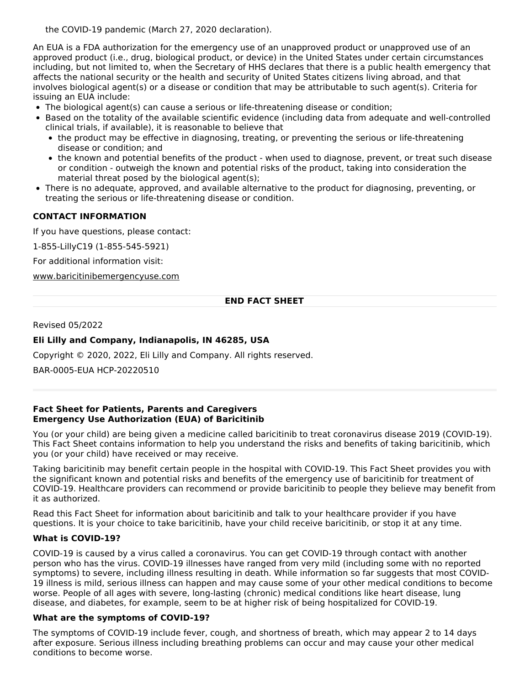the COVID-19 pandemic (March 27, 2020 declaration).

An EUA is a FDA authorization for the emergency use of an unapproved product or unapproved use of an approved product (i.e., drug, biological product, or device) in the United States under certain circumstances including, but not limited to, when the Secretary of HHS declares that there is a public health emergency that affects the national security or the health and security of United States citizens living abroad, and that involves biological agent(s) or a disease or condition that may be attributable to such agent(s). Criteria for issuing an EUA include:

- The biological agent(s) can cause a serious or life-threatening disease or condition;
- Based on the totality of the available scientific evidence (including data from adequate and well-controlled clinical trials, if available), it is reasonable to believe that
	- the product may be effective in diagnosing, treating, or preventing the serious or life-threatening disease or condition; and
	- the known and potential benefits of the product when used to diagnose, prevent, or treat such disease or condition - outweigh the known and potential risks of the product, taking into consideration the material threat posed by the biological agent(s);
- There is no adequate, approved, and available alternative to the product for diagnosing, preventing, or treating the serious or life-threatening disease or condition.

# **CONTACT INFORMATION**

If you have questions, please contact:

1-855-LillyC19 (1-855-545-5921)

For additional information visit:

www.baricitinibemergencyuse.com

## **END FACT SHEET**

Revised 05/2022

## **Eli Lilly and Company, Indianapolis, IN 46285, USA**

Copyright © 2020, 2022, Eli Lilly and Company. All rights reserved.

BAR-0005-EUA HCP-20220510

#### **Fact Sheet for Patients, Parents and Caregivers Emergency Use Authorization (EUA) of Baricitinib**

You (or your child) are being given a medicine called baricitinib to treat coronavirus disease 2019 (COVID-19). This Fact Sheet contains information to help you understand the risks and benefits of taking baricitinib, which you (or your child) have received or may receive.

Taking baricitinib may benefit certain people in the hospital with COVID-19. This Fact Sheet provides you with the significant known and potential risks and benefits of the emergency use of baricitinib for treatment of COVID-19. Healthcare providers can recommend or provide baricitinib to people they believe may benefit from it as authorized.

Read this Fact Sheet for information about baricitinib and talk to your healthcare provider if you have questions. It is your choice to take baricitinib, have your child receive baricitinib, or stop it at any time.

## **What is COVID-19?**

COVID-19 is caused by a virus called a coronavirus. You can get COVID-19 through contact with another person who has the virus. COVID-19 illnesses have ranged from very mild (including some with no reported symptoms) to severe, including illness resulting in death. While information so far suggests that most COVID-19 illness is mild, serious illness can happen and may cause some of your other medical conditions to become worse. People of all ages with severe, long-lasting (chronic) medical conditions like heart disease, lung disease, and diabetes, for example, seem to be at higher risk of being hospitalized for COVID-19.

## **What are the symptoms of COVID-19?**

The symptoms of COVID-19 include fever, cough, and shortness of breath, which may appear 2 to 14 days after exposure. Serious illness including breathing problems can occur and may cause your other medical conditions to become worse.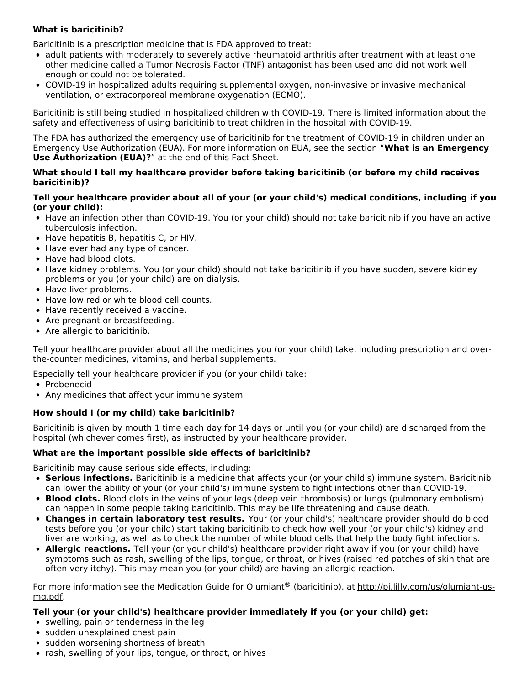# **What is baricitinib?**

Baricitinib is a prescription medicine that is FDA approved to treat:

- adult patients with moderately to severely active rheumatoid arthritis after treatment with at least one other medicine called a Tumor Necrosis Factor (TNF) antagonist has been used and did not work well enough or could not be tolerated.
- COVID-19 in hospitalized adults requiring supplemental oxygen, non-invasive or invasive mechanical ventilation, or extracorporeal membrane oxygenation (ECMO).

Baricitinib is still being studied in hospitalized children with COVID-19. There is limited information about the safety and effectiveness of using baricitinib to treat children in the hospital with COVID-19.

The FDA has authorized the emergency use of baricitinib for the treatment of COVID-19 in children under an Emergency Use Authorization (EUA). For more information on EUA, see the section "**What is an Emergency Use Authorization (EUA)?**" at the end of this Fact Sheet.

#### **What should I tell my healthcare provider before taking baricitinib (or before my child receives baricitinib)?**

#### **Tell your healthcare provider about all of your (or your child's) medical conditions, including if you (or your child):**

- Have an infection other than COVID-19. You (or your child) should not take baricitinib if you have an active tuberculosis infection.
- Have hepatitis B, hepatitis C, or HIV.
- Have ever had any type of cancer.
- Have had blood clots.
- Have kidney problems. You (or your child) should not take baricitinib if you have sudden, severe kidney problems or you (or your child) are on dialysis.
- Have liver problems.
- Have low red or white blood cell counts.
- Have recently received a vaccine.
- Are pregnant or breastfeeding.
- Are allergic to baricitinib.

Tell your healthcare provider about all the medicines you (or your child) take, including prescription and overthe-counter medicines, vitamins, and herbal supplements.

Especially tell your healthcare provider if you (or your child) take:

- Probenecid
- Any medicines that affect your immune system

## **How should I (or my child) take baricitinib?**

Baricitinib is given by mouth 1 time each day for 14 days or until you (or your child) are discharged from the hospital (whichever comes first), as instructed by your healthcare provider.

#### **What are the important possible side effects of baricitinib?**

Baricitinib may cause serious side effects, including:

- **Serious infections.** Baricitinib is a medicine that affects your (or your child's) immune system. Baricitinib can lower the ability of your (or your child's) immune system to fight infections other than COVID-19.
- **Blood clots.** Blood clots in the veins of your legs (deep vein thrombosis) or lungs (pulmonary embolism) can happen in some people taking baricitinib. This may be life threatening and cause death.
- **Changes in certain laboratory test results.** Your (or your child's) healthcare provider should do blood tests before you (or your child) start taking baricitinib to check how well your (or your child's) kidney and liver are working, as well as to check the number of white blood cells that help the body fight infections.
- **Allergic reactions.** Tell your (or your child's) healthcare provider right away if you (or your child) have symptoms such as rash, swelling of the lips, tongue, or throat, or hives (raised red patches of skin that are often very itchy). This may mean you (or your child) are having an allergic reaction.

For more information see the Medication Guide for Olumiant<sup>®</sup> (baricitinib), at http://pi.lilly.com/us/olumiant-usmg.pdf.

## **Tell your (or your child's) healthcare provider immediately if you (or your child) get:**

- swelling, pain or tenderness in the leg
- sudden unexplained chest pain
- sudden worsening shortness of breath
- rash, swelling of your lips, tongue, or throat, or hives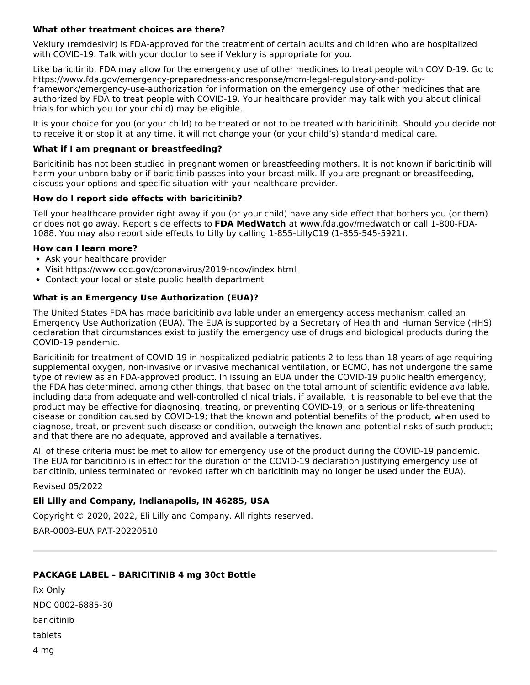## **What other treatment choices are there?**

Veklury (remdesivir) is FDA-approved for the treatment of certain adults and children who are hospitalized with COVID-19. Talk with your doctor to see if Veklury is appropriate for you.

Like baricitinib, FDA may allow for the emergency use of other medicines to treat people with COVID-19. Go to https://www.fda.gov/emergency-preparedness-andresponse/mcm-legal-regulatory-and-policyframework/emergency-use-authorization for information on the emergency use of other medicines that are authorized by FDA to treat people with COVID-19. Your healthcare provider may talk with you about clinical trials for which you (or your child) may be eligible.

It is your choice for you (or your child) to be treated or not to be treated with baricitinib. Should you decide not to receive it or stop it at any time, it will not change your (or your child's) standard medical care.

## **What if I am pregnant or breastfeeding?**

Baricitinib has not been studied in pregnant women or breastfeeding mothers. It is not known if baricitinib will harm your unborn baby or if baricitinib passes into your breast milk. If you are pregnant or breastfeeding, discuss your options and specific situation with your healthcare provider.

## **How do I report side effects with baricitinib?**

Tell your healthcare provider right away if you (or your child) have any side effect that bothers you (or them) or does not go away. Report side effects to **FDA MedWatch** at www.fda.gov/medwatch or call 1-800-FDA-1088. You may also report side effects to Lilly by calling 1-855-LillyC19 (1-855-545-5921).

## **How can I learn more?**

- Ask your healthcare provider
- Visit https://www.cdc.gov/coronavirus/2019-ncov/index.html
- Contact your local or state public health department

# **What is an Emergency Use Authorization (EUA)?**

The United States FDA has made baricitinib available under an emergency access mechanism called an Emergency Use Authorization (EUA). The EUA is supported by a Secretary of Health and Human Service (HHS) declaration that circumstances exist to justify the emergency use of drugs and biological products during the COVID-19 pandemic.

Baricitinib for treatment of COVID-19 in hospitalized pediatric patients 2 to less than 18 years of age requiring supplemental oxygen, non-invasive or invasive mechanical ventilation, or ECMO, has not undergone the same type of review as an FDA-approved product. In issuing an EUA under the COVID-19 public health emergency, the FDA has determined, among other things, that based on the total amount of scientific evidence available, including data from adequate and well-controlled clinical trials, if available, it is reasonable to believe that the product may be effective for diagnosing, treating, or preventing COVID-19, or a serious or life-threatening disease or condition caused by COVID-19; that the known and potential benefits of the product, when used to diagnose, treat, or prevent such disease or condition, outweigh the known and potential risks of such product; and that there are no adequate, approved and available alternatives.

All of these criteria must be met to allow for emergency use of the product during the COVID-19 pandemic. The EUA for baricitinib is in effect for the duration of the COVID-19 declaration justifying emergency use of baricitinib, unless terminated or revoked (after which baricitinib may no longer be used under the EUA).

Revised 05/2022

# **Eli Lilly and Company, Indianapolis, IN 46285, USA**

Copyright © 2020, 2022, Eli Lilly and Company. All rights reserved.

BAR-0003-EUA PAT-20220510

## **PACKAGE LABEL – BARICITINIB 4 mg 30ct Bottle**

Rx Only NDC 0002-6885-30 baricitinib tablets 4 mg